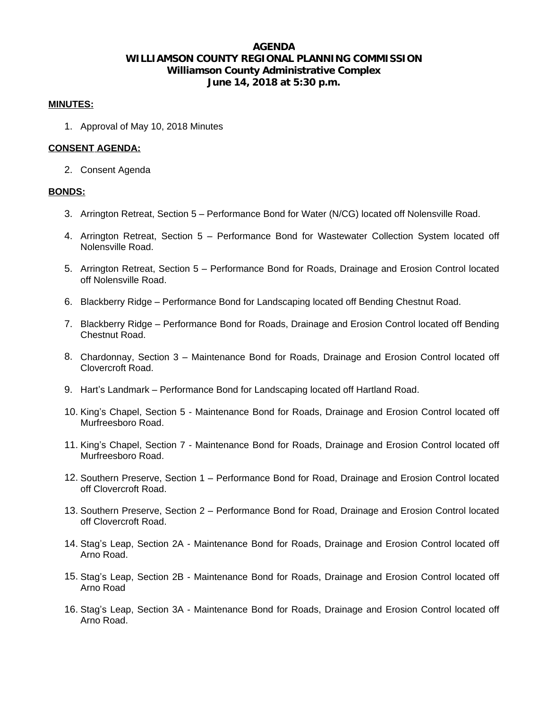# **AGENDA WILLIAMSON COUNTY REGIONAL PLANNING COMMISSION Williamson County Administrative Complex June 14, 2018 at 5:30 p.m.**

### **MINUTES:**

1. Approval of May 10, 2018 Minutes

### **CONSENT AGENDA:**

2. Consent Agenda

### **BONDS:**

- 3. Arrington Retreat, Section 5 Performance Bond for Water (N/CG) located off Nolensville Road.
- 4. Arrington Retreat, Section 5 Performance Bond for Wastewater Collection System located off Nolensville Road.
- 5. Arrington Retreat, Section 5 Performance Bond for Roads, Drainage and Erosion Control located off Nolensville Road.
- 6. Blackberry Ridge Performance Bond for Landscaping located off Bending Chestnut Road.
- 7. Blackberry Ridge Performance Bond for Roads, Drainage and Erosion Control located off Bending Chestnut Road.
- 8. Chardonnay, Section 3 Maintenance Bond for Roads, Drainage and Erosion Control located off Clovercroft Road.
- 9. Hart's Landmark Performance Bond for Landscaping located off Hartland Road.
- 10. King's Chapel, Section 5 Maintenance Bond for Roads, Drainage and Erosion Control located off Murfreesboro Road.
- 11. King's Chapel, Section 7 Maintenance Bond for Roads, Drainage and Erosion Control located off Murfreesboro Road.
- 12. Southern Preserve, Section 1 Performance Bond for Road, Drainage and Erosion Control located off Clovercroft Road.
- 13. Southern Preserve, Section 2 Performance Bond for Road, Drainage and Erosion Control located off Clovercroft Road.
- 14. Stag's Leap, Section 2A Maintenance Bond for Roads, Drainage and Erosion Control located off Arno Road.
- 15. Stag's Leap, Section 2B Maintenance Bond for Roads, Drainage and Erosion Control located off Arno Road
- 16. Stag's Leap, Section 3A Maintenance Bond for Roads, Drainage and Erosion Control located off Arno Road.